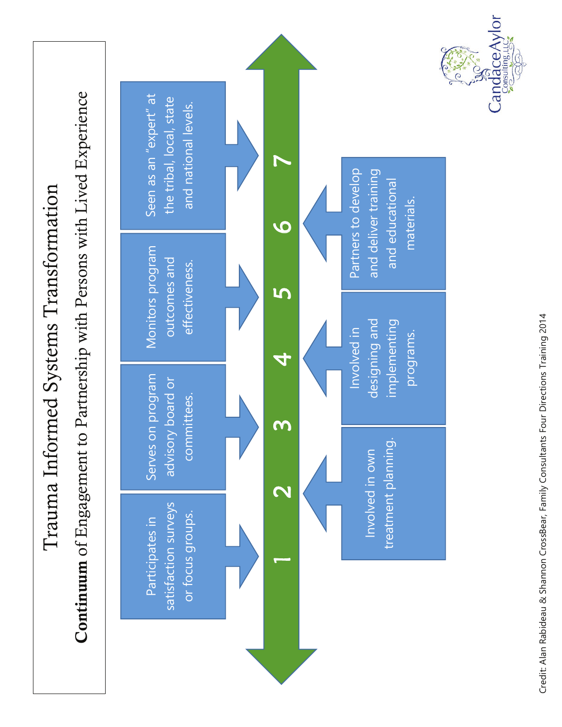